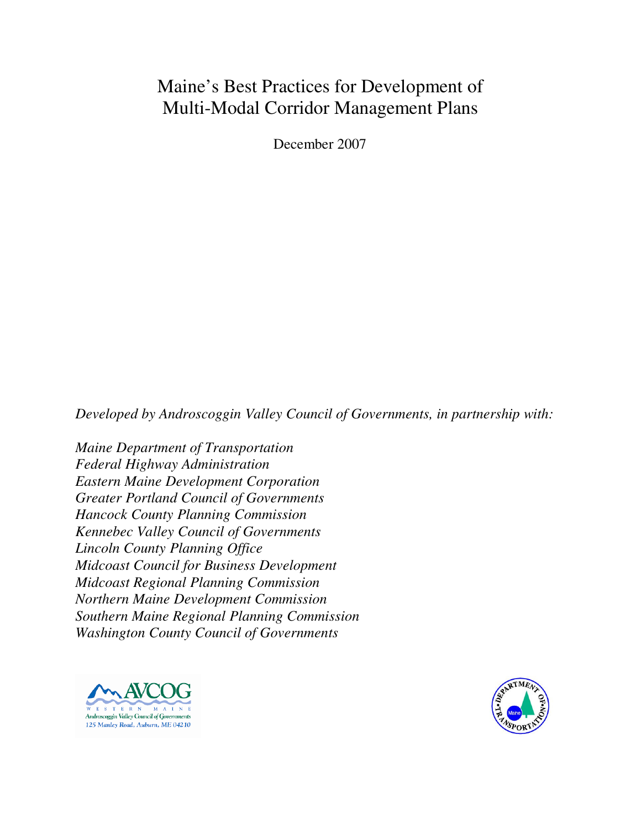December 2007

*Developed by Androscoggin Valley Council of Governments, in partnership with:* 

*Maine Department of Transportation Federal Highway Administration Eastern Maine Development Corporation Greater Portland Council of Governments Hancock County Planning Commission Kennebec Valley Council of Governments Lincoln County Planning Office Midcoast Council for Business Development Midcoast Regional Planning Commission Northern Maine Development Commission Southern Maine Regional Planning Commission Washington County Council of Governments*



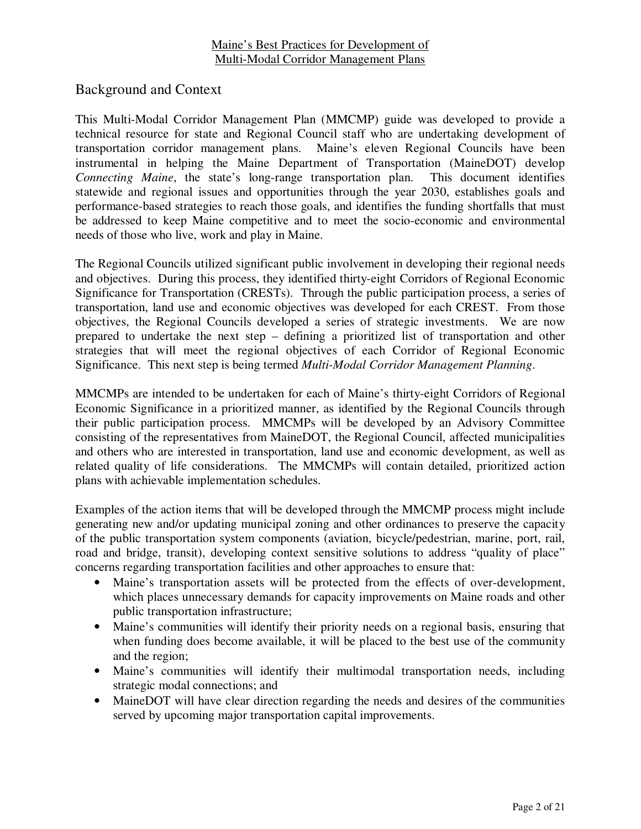Background and Context

This Multi-Modal Corridor Management Plan (MMCMP) guide was developed to provide a technical resource for state and Regional Council staff who are undertaking development of transportation corridor management plans. Maine's eleven Regional Councils have been instrumental in helping the Maine Department of Transportation (MaineDOT) develop *Connecting Maine*, the state's long-range transportation plan. This document identifies statewide and regional issues and opportunities through the year 2030, establishes goals and performance-based strategies to reach those goals, and identifies the funding shortfalls that must be addressed to keep Maine competitive and to meet the socio-economic and environmental needs of those who live, work and play in Maine.

The Regional Councils utilized significant public involvement in developing their regional needs and objectives. During this process, they identified thirty-eight Corridors of Regional Economic Significance for Transportation (CRESTs). Through the public participation process, a series of transportation, land use and economic objectives was developed for each CREST. From those objectives, the Regional Councils developed a series of strategic investments. We are now prepared to undertake the next step – defining a prioritized list of transportation and other strategies that will meet the regional objectives of each Corridor of Regional Economic Significance. This next step is being termed *Multi-Modal Corridor Management Planning*.

MMCMPs are intended to be undertaken for each of Maine's thirty-eight Corridors of Regional Economic Significance in a prioritized manner, as identified by the Regional Councils through their public participation process. MMCMPs will be developed by an Advisory Committee consisting of the representatives from MaineDOT, the Regional Council, affected municipalities and others who are interested in transportation, land use and economic development, as well as related quality of life considerations. The MMCMPs will contain detailed, prioritized action plans with achievable implementation schedules.

Examples of the action items that will be developed through the MMCMP process might include generating new and/or updating municipal zoning and other ordinances to preserve the capacity of the public transportation system components (aviation, bicycle/pedestrian, marine, port, rail, road and bridge, transit), developing context sensitive solutions to address "quality of place" concerns regarding transportation facilities and other approaches to ensure that:

- Maine's transportation assets will be protected from the effects of over-development, which places unnecessary demands for capacity improvements on Maine roads and other public transportation infrastructure;
- Maine's communities will identify their priority needs on a regional basis, ensuring that when funding does become available, it will be placed to the best use of the community and the region;
- Maine's communities will identify their multimodal transportation needs, including strategic modal connections; and
- MaineDOT will have clear direction regarding the needs and desires of the communities served by upcoming major transportation capital improvements.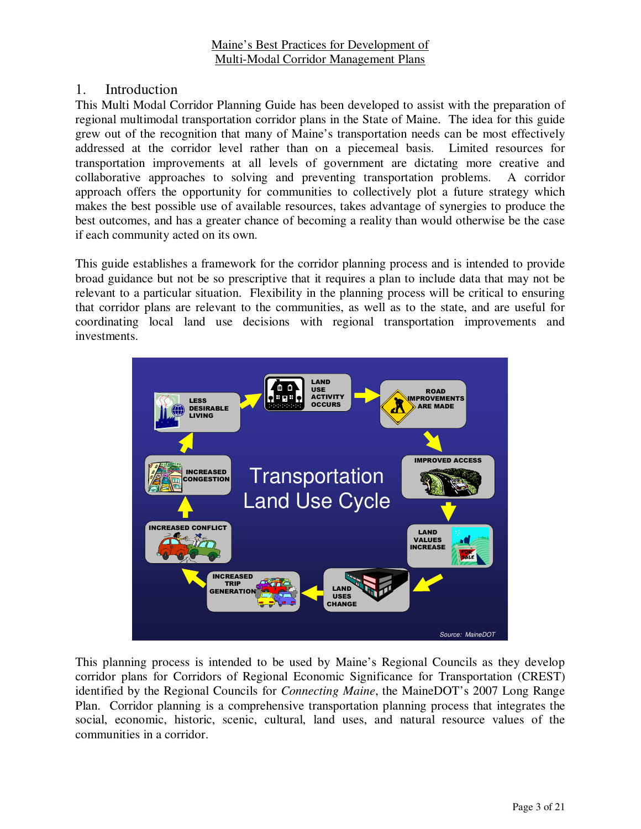# 1. Introduction

This Multi Modal Corridor Planning Guide has been developed to assist with the preparation of regional multimodal transportation corridor plans in the State of Maine. The idea for this guide grew out of the recognition that many of Maine's transportation needs can be most effectively addressed at the corridor level rather than on a piecemeal basis. Limited resources for transportation improvements at all levels of government are dictating more creative and collaborative approaches to solving and preventing transportation problems. A corridor approach offers the opportunity for communities to collectively plot a future strategy which makes the best possible use of available resources, takes advantage of synergies to produce the best outcomes, and has a greater chance of becoming a reality than would otherwise be the case if each community acted on its own.

This guide establishes a framework for the corridor planning process and is intended to provide broad guidance but not be so prescriptive that it requires a plan to include data that may not be relevant to a particular situation. Flexibility in the planning process will be critical to ensuring that corridor plans are relevant to the communities, as well as to the state, and are useful for coordinating local land use decisions with regional transportation improvements and investments.



This planning process is intended to be used by Maine's Regional Councils as they develop corridor plans for Corridors of Regional Economic Significance for Transportation (CREST) identified by the Regional Councils for *Connecting Maine*, the MaineDOT's 2007 Long Range Plan. Corridor planning is a comprehensive transportation planning process that integrates the social, economic, historic, scenic, cultural, land uses, and natural resource values of the communities in a corridor.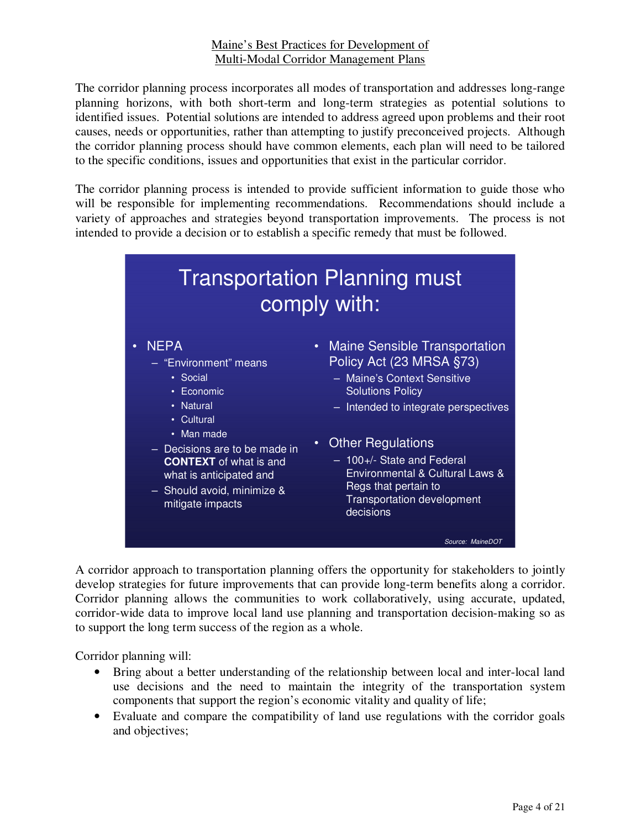The corridor planning process incorporates all modes of transportation and addresses long-range planning horizons, with both short-term and long-term strategies as potential solutions to identified issues. Potential solutions are intended to address agreed upon problems and their root causes, needs or opportunities, rather than attempting to justify preconceived projects. Although the corridor planning process should have common elements, each plan will need to be tailored to the specific conditions, issues and opportunities that exist in the particular corridor.

The corridor planning process is intended to provide sufficient information to guide those who will be responsible for implementing recommendations. Recommendations should include a variety of approaches and strategies beyond transportation improvements. The process is not intended to provide a decision or to establish a specific remedy that must be followed.



A corridor approach to transportation planning offers the opportunity for stakeholders to jointly develop strategies for future improvements that can provide long-term benefits along a corridor. Corridor planning allows the communities to work collaboratively, using accurate, updated, corridor-wide data to improve local land use planning and transportation decision-making so as to support the long term success of the region as a whole.

Corridor planning will:

- Bring about a better understanding of the relationship between local and inter-local land use decisions and the need to maintain the integrity of the transportation system components that support the region's economic vitality and quality of life;
- Evaluate and compare the compatibility of land use regulations with the corridor goals and objectives;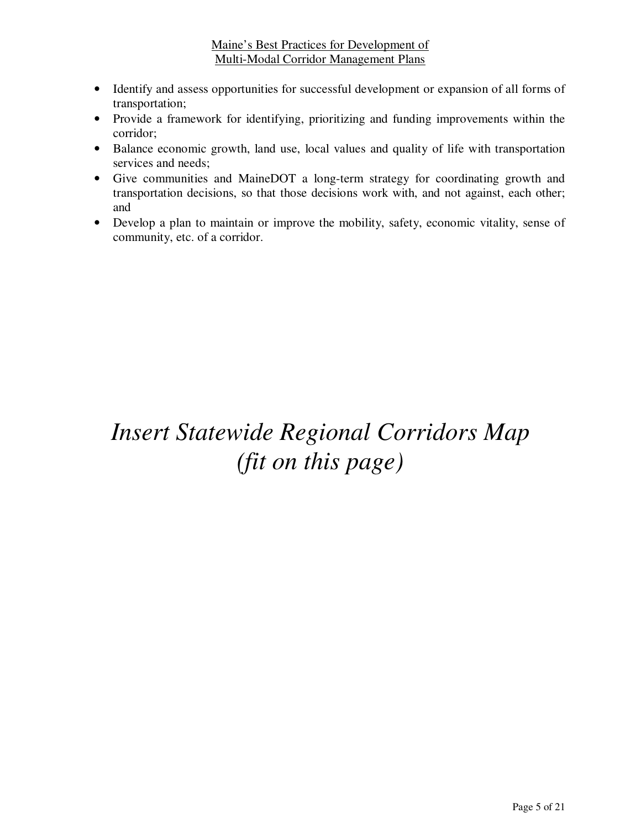- Identify and assess opportunities for successful development or expansion of all forms of transportation;
- Provide a framework for identifying, prioritizing and funding improvements within the corridor;
- Balance economic growth, land use, local values and quality of life with transportation services and needs;
- Give communities and MaineDOT a long-term strategy for coordinating growth and transportation decisions, so that those decisions work with, and not against, each other; and
- Develop a plan to maintain or improve the mobility, safety, economic vitality, sense of community, etc. of a corridor.

# *Insert Statewide Regional Corridors Map (fit on this page)*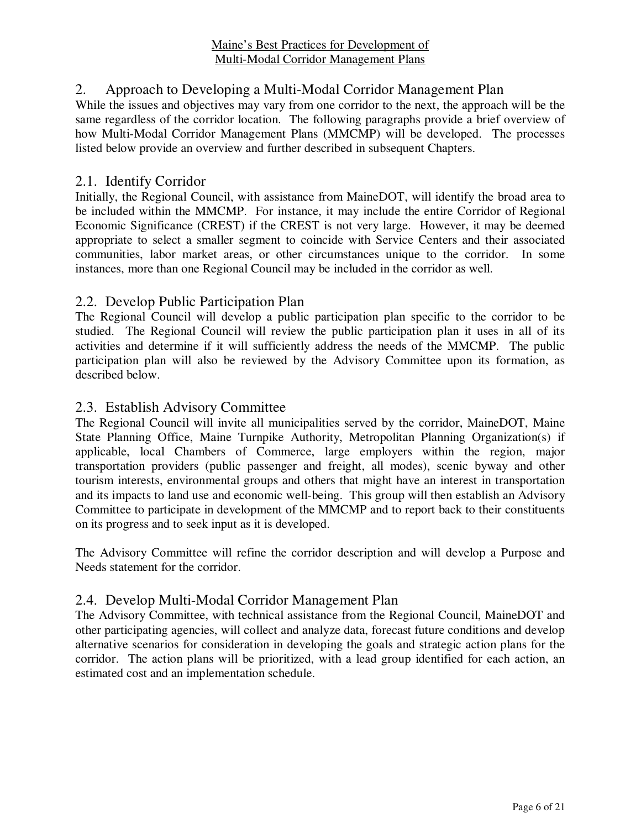# 2. Approach to Developing a Multi-Modal Corridor Management Plan

While the issues and objectives may vary from one corridor to the next, the approach will be the same regardless of the corridor location. The following paragraphs provide a brief overview of how Multi-Modal Corridor Management Plans (MMCMP) will be developed. The processes listed below provide an overview and further described in subsequent Chapters.

#### 2.1. Identify Corridor

Initially, the Regional Council, with assistance from MaineDOT, will identify the broad area to be included within the MMCMP. For instance, it may include the entire Corridor of Regional Economic Significance (CREST) if the CREST is not very large. However, it may be deemed appropriate to select a smaller segment to coincide with Service Centers and their associated communities, labor market areas, or other circumstances unique to the corridor. In some instances, more than one Regional Council may be included in the corridor as well.

#### 2.2. Develop Public Participation Plan

The Regional Council will develop a public participation plan specific to the corridor to be studied. The Regional Council will review the public participation plan it uses in all of its activities and determine if it will sufficiently address the needs of the MMCMP. The public participation plan will also be reviewed by the Advisory Committee upon its formation, as described below.

#### 2.3. Establish Advisory Committee

The Regional Council will invite all municipalities served by the corridor, MaineDOT, Maine State Planning Office, Maine Turnpike Authority, Metropolitan Planning Organization(s) if applicable, local Chambers of Commerce, large employers within the region, major transportation providers (public passenger and freight, all modes), scenic byway and other tourism interests, environmental groups and others that might have an interest in transportation and its impacts to land use and economic well-being. This group will then establish an Advisory Committee to participate in development of the MMCMP and to report back to their constituents on its progress and to seek input as it is developed.

The Advisory Committee will refine the corridor description and will develop a Purpose and Needs statement for the corridor.

#### 2.4. Develop Multi-Modal Corridor Management Plan

The Advisory Committee, with technical assistance from the Regional Council, MaineDOT and other participating agencies, will collect and analyze data, forecast future conditions and develop alternative scenarios for consideration in developing the goals and strategic action plans for the corridor. The action plans will be prioritized, with a lead group identified for each action, an estimated cost and an implementation schedule.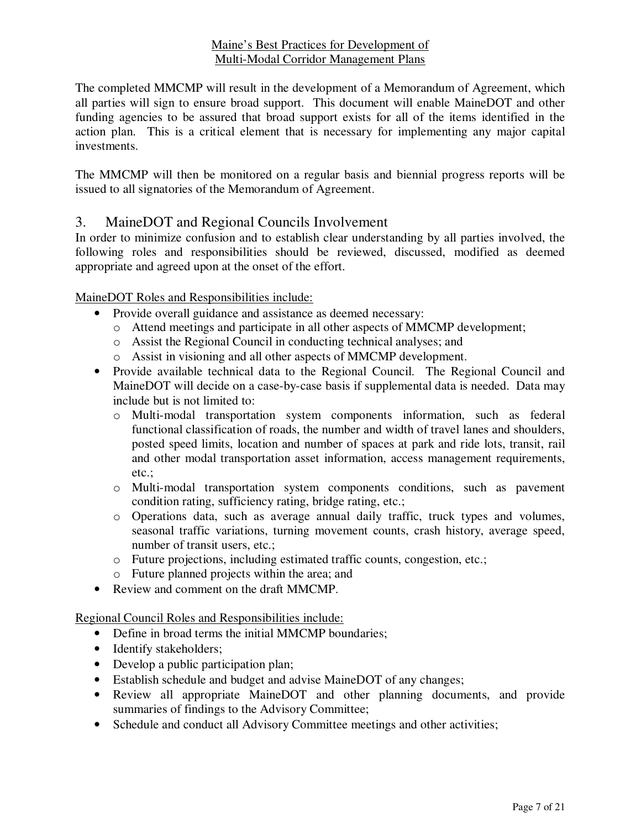The completed MMCMP will result in the development of a Memorandum of Agreement, which all parties will sign to ensure broad support. This document will enable MaineDOT and other funding agencies to be assured that broad support exists for all of the items identified in the action plan. This is a critical element that is necessary for implementing any major capital investments.

The MMCMP will then be monitored on a regular basis and biennial progress reports will be issued to all signatories of the Memorandum of Agreement.

# 3. MaineDOT and Regional Councils Involvement

In order to minimize confusion and to establish clear understanding by all parties involved, the following roles and responsibilities should be reviewed, discussed, modified as deemed appropriate and agreed upon at the onset of the effort.

#### MaineDOT Roles and Responsibilities include:

- Provide overall guidance and assistance as deemed necessary:
	- o Attend meetings and participate in all other aspects of MMCMP development;
	- o Assist the Regional Council in conducting technical analyses; and
	- o Assist in visioning and all other aspects of MMCMP development.
- Provide available technical data to the Regional Council. The Regional Council and MaineDOT will decide on a case-by-case basis if supplemental data is needed. Data may include but is not limited to:
	- o Multi-modal transportation system components information, such as federal functional classification of roads, the number and width of travel lanes and shoulders, posted speed limits, location and number of spaces at park and ride lots, transit, rail and other modal transportation asset information, access management requirements, etc.;
	- o Multi-modal transportation system components conditions, such as pavement condition rating, sufficiency rating, bridge rating, etc.;
	- o Operations data, such as average annual daily traffic, truck types and volumes, seasonal traffic variations, turning movement counts, crash history, average speed, number of transit users, etc.;
	- o Future projections, including estimated traffic counts, congestion, etc.;
	- o Future planned projects within the area; and
- Review and comment on the draft MMCMP.

Regional Council Roles and Responsibilities include:

- Define in broad terms the initial MMCMP boundaries;
- Identify stakeholders;
- Develop a public participation plan;
- Establish schedule and budget and advise MaineDOT of any changes;
- Review all appropriate MaineDOT and other planning documents, and provide summaries of findings to the Advisory Committee;
- Schedule and conduct all Advisory Committee meetings and other activities;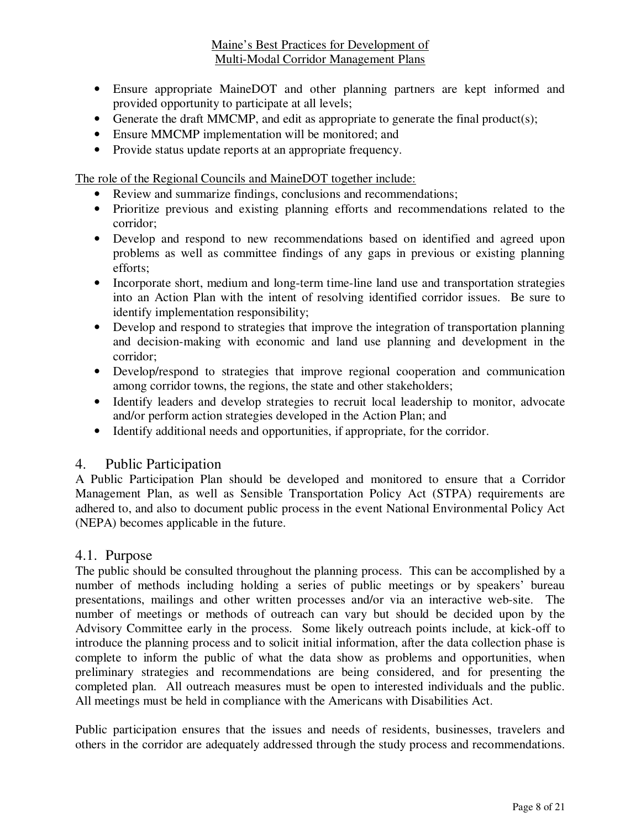- Ensure appropriate MaineDOT and other planning partners are kept informed and provided opportunity to participate at all levels;
- Generate the draft MMCMP, and edit as appropriate to generate the final product(s);
- Ensure MMCMP implementation will be monitored; and
- Provide status update reports at an appropriate frequency.

The role of the Regional Councils and MaineDOT together include:

- Review and summarize findings, conclusions and recommendations;
- Prioritize previous and existing planning efforts and recommendations related to the corridor;
- Develop and respond to new recommendations based on identified and agreed upon problems as well as committee findings of any gaps in previous or existing planning efforts;
- Incorporate short, medium and long-term time-line land use and transportation strategies into an Action Plan with the intent of resolving identified corridor issues. Be sure to identify implementation responsibility;
- Develop and respond to strategies that improve the integration of transportation planning and decision-making with economic and land use planning and development in the corridor;
- Develop/respond to strategies that improve regional cooperation and communication among corridor towns, the regions, the state and other stakeholders;
- Identify leaders and develop strategies to recruit local leadership to monitor, advocate and/or perform action strategies developed in the Action Plan; and
- Identify additional needs and opportunities, if appropriate, for the corridor.

# 4. Public Participation

A Public Participation Plan should be developed and monitored to ensure that a Corridor Management Plan, as well as Sensible Transportation Policy Act (STPA) requirements are adhered to, and also to document public process in the event National Environmental Policy Act (NEPA) becomes applicable in the future.

#### 4.1. Purpose

The public should be consulted throughout the planning process. This can be accomplished by a number of methods including holding a series of public meetings or by speakers' bureau presentations, mailings and other written processes and/or via an interactive web-site. The number of meetings or methods of outreach can vary but should be decided upon by the Advisory Committee early in the process. Some likely outreach points include, at kick-off to introduce the planning process and to solicit initial information, after the data collection phase is complete to inform the public of what the data show as problems and opportunities, when preliminary strategies and recommendations are being considered, and for presenting the completed plan. All outreach measures must be open to interested individuals and the public. All meetings must be held in compliance with the Americans with Disabilities Act.

Public participation ensures that the issues and needs of residents, businesses, travelers and others in the corridor are adequately addressed through the study process and recommendations.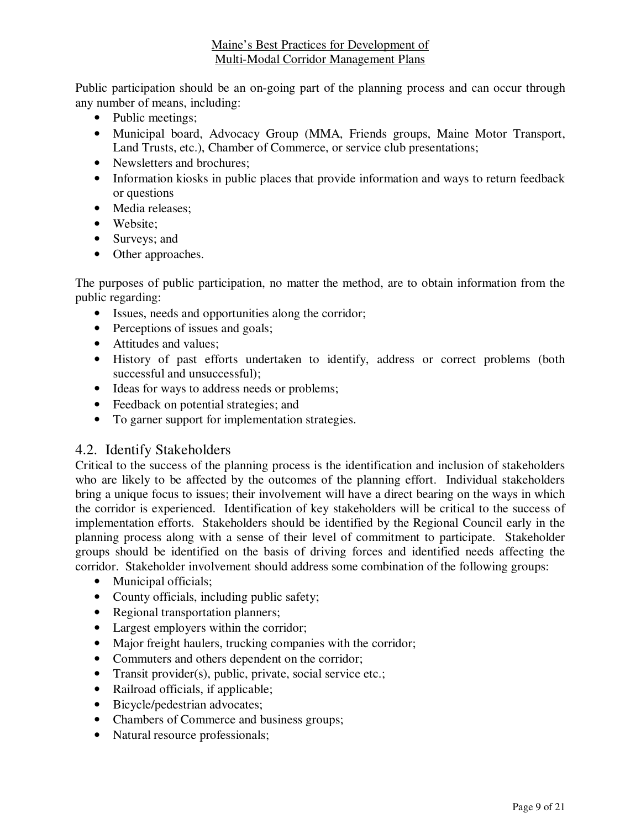Public participation should be an on-going part of the planning process and can occur through any number of means, including:

- Public meetings;
- Municipal board, Advocacy Group (MMA, Friends groups, Maine Motor Transport, Land Trusts, etc.), Chamber of Commerce, or service club presentations;
- Newsletters and brochures:
- Information kiosks in public places that provide information and ways to return feedback or questions
- Media releases;
- Website;
- Surveys; and
- Other approaches.

The purposes of public participation, no matter the method, are to obtain information from the public regarding:

- Issues, needs and opportunities along the corridor;
- Perceptions of issues and goals;
- Attitudes and values;
- History of past efforts undertaken to identify, address or correct problems (both successful and unsuccessful);
- Ideas for ways to address needs or problems;
- Feedback on potential strategies; and
- To garner support for implementation strategies.

# 4.2. Identify Stakeholders

Critical to the success of the planning process is the identification and inclusion of stakeholders who are likely to be affected by the outcomes of the planning effort. Individual stakeholders bring a unique focus to issues; their involvement will have a direct bearing on the ways in which the corridor is experienced. Identification of key stakeholders will be critical to the success of implementation efforts. Stakeholders should be identified by the Regional Council early in the planning process along with a sense of their level of commitment to participate. Stakeholder groups should be identified on the basis of driving forces and identified needs affecting the corridor. Stakeholder involvement should address some combination of the following groups:

- Municipal officials;
- County officials, including public safety;
- Regional transportation planners;
- Largest employers within the corridor;
- Major freight haulers, trucking companies with the corridor;
- Commuters and others dependent on the corridor;
- Transit provider(s), public, private, social service etc.;
- Railroad officials, if applicable;
- Bicycle/pedestrian advocates;
- Chambers of Commerce and business groups;
- Natural resource professionals;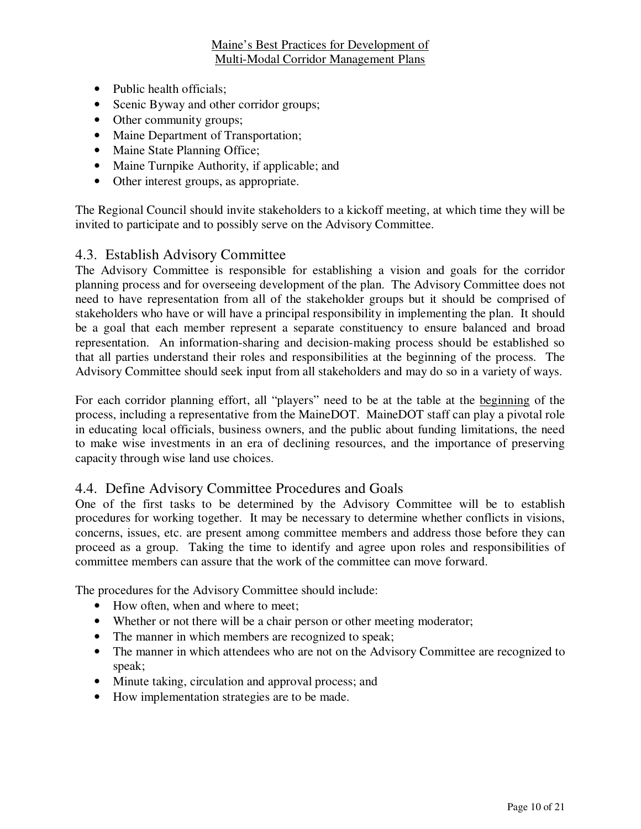- Public health officials;
- Scenic Byway and other corridor groups;
- Other community groups;
- Maine Department of Transportation;
- Maine State Planning Office;
- Maine Turnpike Authority, if applicable; and
- Other interest groups, as appropriate.

The Regional Council should invite stakeholders to a kickoff meeting, at which time they will be invited to participate and to possibly serve on the Advisory Committee.

# 4.3. Establish Advisory Committee

The Advisory Committee is responsible for establishing a vision and goals for the corridor planning process and for overseeing development of the plan. The Advisory Committee does not need to have representation from all of the stakeholder groups but it should be comprised of stakeholders who have or will have a principal responsibility in implementing the plan. It should be a goal that each member represent a separate constituency to ensure balanced and broad representation. An information-sharing and decision-making process should be established so that all parties understand their roles and responsibilities at the beginning of the process. The Advisory Committee should seek input from all stakeholders and may do so in a variety of ways.

For each corridor planning effort, all "players" need to be at the table at the beginning of the process, including a representative from the MaineDOT. MaineDOT staff can play a pivotal role in educating local officials, business owners, and the public about funding limitations, the need to make wise investments in an era of declining resources, and the importance of preserving capacity through wise land use choices.

# 4.4. Define Advisory Committee Procedures and Goals

One of the first tasks to be determined by the Advisory Committee will be to establish procedures for working together. It may be necessary to determine whether conflicts in visions, concerns, issues, etc. are present among committee members and address those before they can proceed as a group. Taking the time to identify and agree upon roles and responsibilities of committee members can assure that the work of the committee can move forward.

The procedures for the Advisory Committee should include:

- How often, when and where to meet;
- Whether or not there will be a chair person or other meeting moderator;
- The manner in which members are recognized to speak;
- The manner in which attendees who are not on the Advisory Committee are recognized to speak;
- Minute taking, circulation and approval process; and
- How implementation strategies are to be made.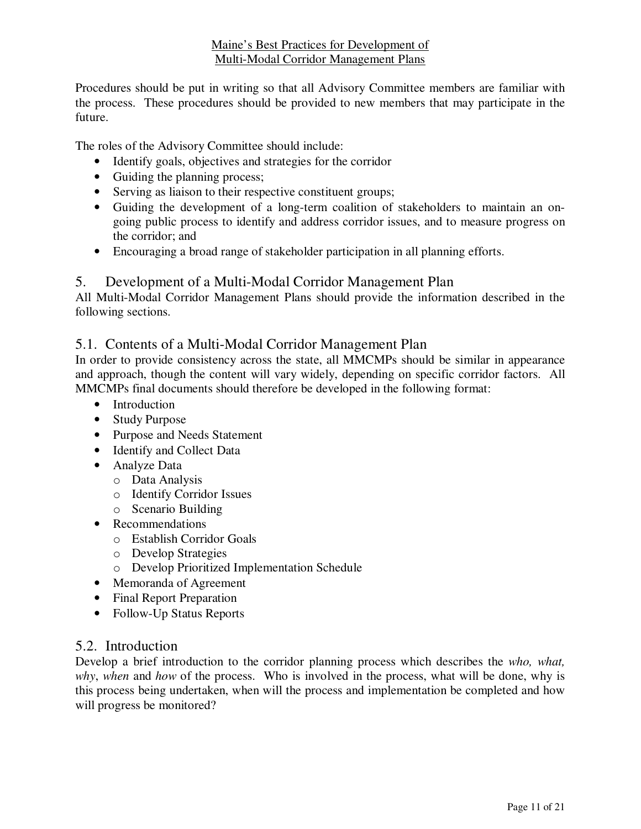Procedures should be put in writing so that all Advisory Committee members are familiar with the process. These procedures should be provided to new members that may participate in the future.

The roles of the Advisory Committee should include:

- Identify goals, objectives and strategies for the corridor
- Guiding the planning process;
- Serving as liaison to their respective constituent groups;
- Guiding the development of a long-term coalition of stakeholders to maintain an ongoing public process to identify and address corridor issues, and to measure progress on the corridor; and
- Encouraging a broad range of stakeholder participation in all planning efforts.

# 5. Development of a Multi-Modal Corridor Management Plan

All Multi-Modal Corridor Management Plans should provide the information described in the following sections.

# 5.1. Contents of a Multi-Modal Corridor Management Plan

In order to provide consistency across the state, all MMCMPs should be similar in appearance and approach, though the content will vary widely, depending on specific corridor factors. All MMCMPs final documents should therefore be developed in the following format:

- Introduction
- Study Purpose
- Purpose and Needs Statement
- Identify and Collect Data
- Analyze Data
	- o Data Analysis
	- o Identify Corridor Issues
	- o Scenario Building
- Recommendations
	- o Establish Corridor Goals
	- o Develop Strategies
	- o Develop Prioritized Implementation Schedule
- Memoranda of Agreement
- Final Report Preparation
- Follow-Up Status Reports

#### 5.2. Introduction

Develop a brief introduction to the corridor planning process which describes the *who, what, why*, *when* and *how* of the process. Who is involved in the process, what will be done, why is this process being undertaken, when will the process and implementation be completed and how will progress be monitored?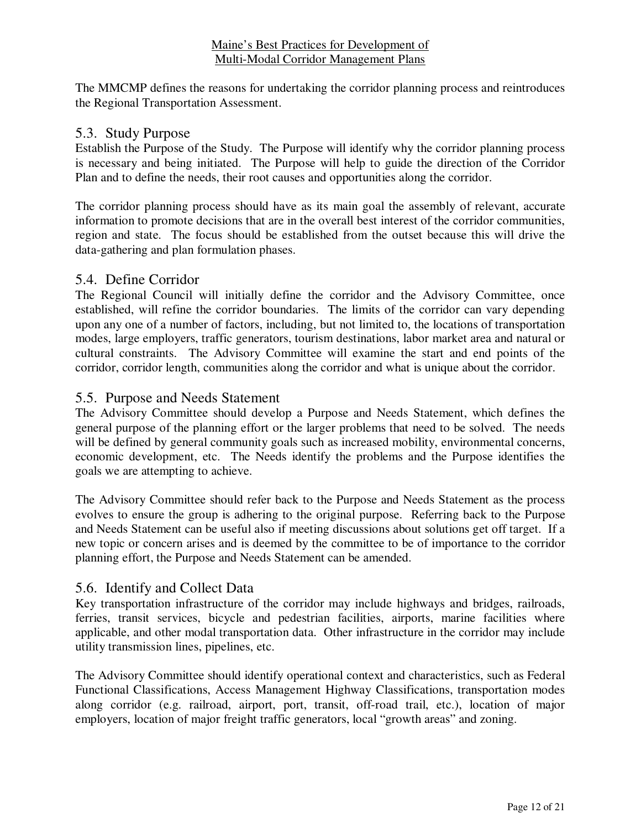The MMCMP defines the reasons for undertaking the corridor planning process and reintroduces the Regional Transportation Assessment.

#### 5.3. Study Purpose

Establish the Purpose of the Study. The Purpose will identify why the corridor planning process is necessary and being initiated. The Purpose will help to guide the direction of the Corridor Plan and to define the needs, their root causes and opportunities along the corridor.

The corridor planning process should have as its main goal the assembly of relevant, accurate information to promote decisions that are in the overall best interest of the corridor communities, region and state. The focus should be established from the outset because this will drive the data-gathering and plan formulation phases.

#### 5.4. Define Corridor

The Regional Council will initially define the corridor and the Advisory Committee, once established, will refine the corridor boundaries. The limits of the corridor can vary depending upon any one of a number of factors, including, but not limited to, the locations of transportation modes, large employers, traffic generators, tourism destinations, labor market area and natural or cultural constraints. The Advisory Committee will examine the start and end points of the corridor, corridor length, communities along the corridor and what is unique about the corridor.

# 5.5. Purpose and Needs Statement

The Advisory Committee should develop a Purpose and Needs Statement, which defines the general purpose of the planning effort or the larger problems that need to be solved. The needs will be defined by general community goals such as increased mobility, environmental concerns, economic development, etc. The Needs identify the problems and the Purpose identifies the goals we are attempting to achieve.

The Advisory Committee should refer back to the Purpose and Needs Statement as the process evolves to ensure the group is adhering to the original purpose. Referring back to the Purpose and Needs Statement can be useful also if meeting discussions about solutions get off target. If a new topic or concern arises and is deemed by the committee to be of importance to the corridor planning effort, the Purpose and Needs Statement can be amended.

#### 5.6. Identify and Collect Data

Key transportation infrastructure of the corridor may include highways and bridges, railroads, ferries, transit services, bicycle and pedestrian facilities, airports, marine facilities where applicable, and other modal transportation data. Other infrastructure in the corridor may include utility transmission lines, pipelines, etc.

The Advisory Committee should identify operational context and characteristics, such as Federal Functional Classifications, Access Management Highway Classifications, transportation modes along corridor (e.g. railroad, airport, port, transit, off-road trail, etc.), location of major employers, location of major freight traffic generators, local "growth areas" and zoning.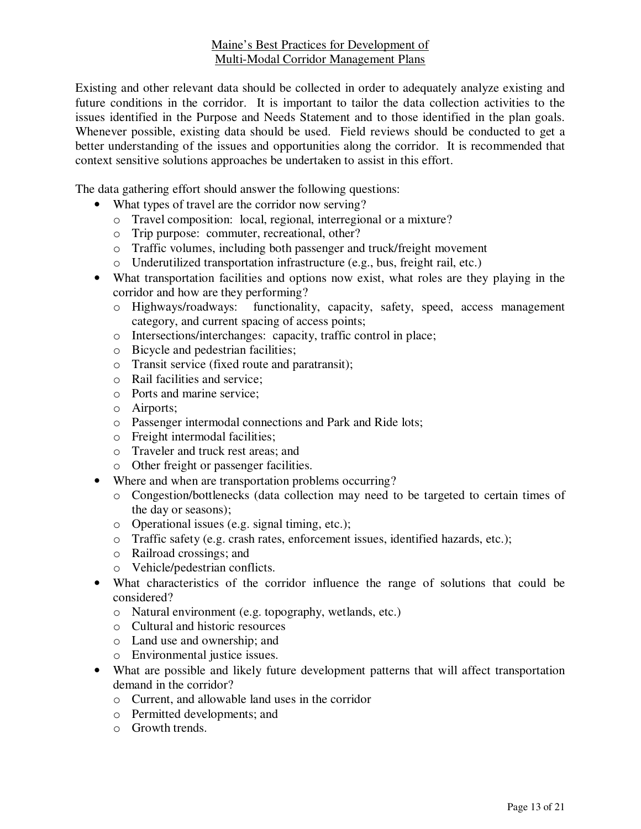Existing and other relevant data should be collected in order to adequately analyze existing and future conditions in the corridor. It is important to tailor the data collection activities to the issues identified in the Purpose and Needs Statement and to those identified in the plan goals. Whenever possible, existing data should be used. Field reviews should be conducted to get a better understanding of the issues and opportunities along the corridor. It is recommended that context sensitive solutions approaches be undertaken to assist in this effort.

The data gathering effort should answer the following questions:

- What types of travel are the corridor now serving?
	- o Travel composition: local, regional, interregional or a mixture?
	- o Trip purpose: commuter, recreational, other?
	- o Traffic volumes, including both passenger and truck/freight movement
	- o Underutilized transportation infrastructure (e.g., bus, freight rail, etc.)
- What transportation facilities and options now exist, what roles are they playing in the corridor and how are they performing?
	- o Highways/roadways: functionality, capacity, safety, speed, access management category, and current spacing of access points;
	- o Intersections/interchanges: capacity, traffic control in place;
	- o Bicycle and pedestrian facilities;
	- o Transit service (fixed route and paratransit);
	- o Rail facilities and service;
	- o Ports and marine service;
	- o Airports;
	- o Passenger intermodal connections and Park and Ride lots;
	- o Freight intermodal facilities;
	- o Traveler and truck rest areas; and
	- o Other freight or passenger facilities.
- Where and when are transportation problems occurring?
	- o Congestion/bottlenecks (data collection may need to be targeted to certain times of the day or seasons);
	- o Operational issues (e.g. signal timing, etc.);
	- o Traffic safety (e.g. crash rates, enforcement issues, identified hazards, etc.);
	- o Railroad crossings; and
	- o Vehicle/pedestrian conflicts.
- What characteristics of the corridor influence the range of solutions that could be considered?
	- o Natural environment (e.g. topography, wetlands, etc.)
	- o Cultural and historic resources
	- o Land use and ownership; and
	- o Environmental justice issues.
- What are possible and likely future development patterns that will affect transportation demand in the corridor?
	- o Current, and allowable land uses in the corridor
	- o Permitted developments; and
	- o Growth trends.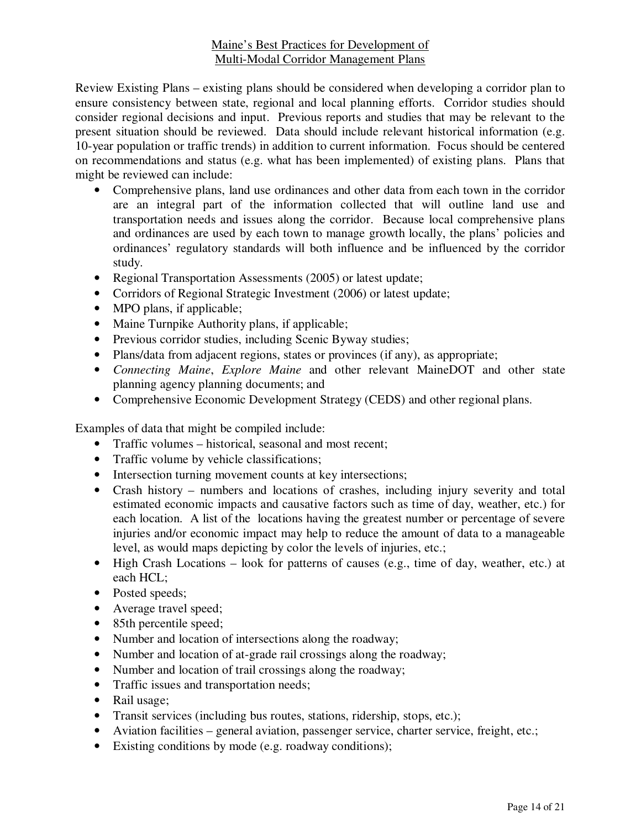Review Existing Plans – existing plans should be considered when developing a corridor plan to ensure consistency between state, regional and local planning efforts. Corridor studies should consider regional decisions and input. Previous reports and studies that may be relevant to the present situation should be reviewed. Data should include relevant historical information (e.g. 10-year population or traffic trends) in addition to current information. Focus should be centered on recommendations and status (e.g. what has been implemented) of existing plans. Plans that might be reviewed can include:

- Comprehensive plans, land use ordinances and other data from each town in the corridor are an integral part of the information collected that will outline land use and transportation needs and issues along the corridor. Because local comprehensive plans and ordinances are used by each town to manage growth locally, the plans' policies and ordinances' regulatory standards will both influence and be influenced by the corridor study.
- Regional Transportation Assessments (2005) or latest update;
- Corridors of Regional Strategic Investment (2006) or latest update;
- MPO plans, if applicable;
- Maine Turnpike Authority plans, if applicable;
- Previous corridor studies, including Scenic Byway studies;
- Plans/data from adjacent regions, states or provinces (if any), as appropriate;
- *Connecting Maine*, *Explore Maine* and other relevant MaineDOT and other state planning agency planning documents; and
- Comprehensive Economic Development Strategy (CEDS) and other regional plans.

Examples of data that might be compiled include:

- Traffic volumes historical, seasonal and most recent;
- Traffic volume by vehicle classifications;
- Intersection turning movement counts at key intersections;
- Crash history numbers and locations of crashes, including injury severity and total estimated economic impacts and causative factors such as time of day, weather, etc.) for each location. A list of the locations having the greatest number or percentage of severe injuries and/or economic impact may help to reduce the amount of data to a manageable level, as would maps depicting by color the levels of injuries, etc.;
- High Crash Locations look for patterns of causes (e.g., time of day, weather, etc.) at each HCL;
- Posted speeds;
- Average travel speed;
- 85th percentile speed;
- Number and location of intersections along the roadway;
- Number and location of at-grade rail crossings along the roadway;
- Number and location of trail crossings along the roadway;
- Traffic issues and transportation needs;
- Rail usage;
- Transit services (including bus routes, stations, ridership, stops, etc.);
- Aviation facilities general aviation, passenger service, charter service, freight, etc.;
- Existing conditions by mode (e.g. roadway conditions);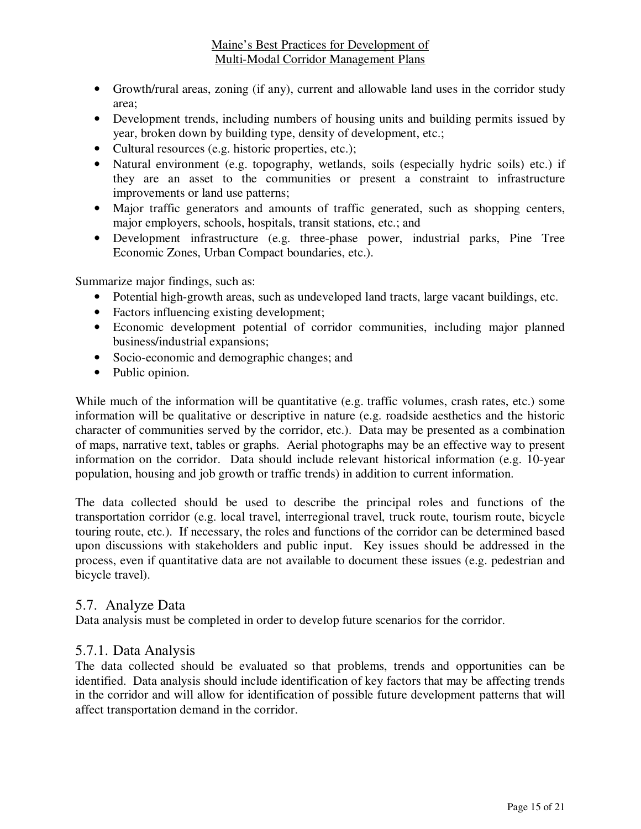- Growth/rural areas, zoning (if any), current and allowable land uses in the corridor study area;
- Development trends, including numbers of housing units and building permits issued by year, broken down by building type, density of development, etc.;
- Cultural resources (e.g. historic properties, etc.);
- Natural environment (e.g. topography, wetlands, soils (especially hydric soils) etc.) if they are an asset to the communities or present a constraint to infrastructure improvements or land use patterns;
- Major traffic generators and amounts of traffic generated, such as shopping centers, major employers, schools, hospitals, transit stations, etc.; and
- Development infrastructure (e.g. three-phase power, industrial parks, Pine Tree Economic Zones, Urban Compact boundaries, etc.).

Summarize major findings, such as:

- Potential high-growth areas, such as undeveloped land tracts, large vacant buildings, etc.
- Factors influencing existing development;
- Economic development potential of corridor communities, including major planned business/industrial expansions;
- Socio-economic and demographic changes; and
- Public opinion.

While much of the information will be quantitative (e.g. traffic volumes, crash rates, etc.) some information will be qualitative or descriptive in nature (e.g. roadside aesthetics and the historic character of communities served by the corridor, etc.). Data may be presented as a combination of maps, narrative text, tables or graphs. Aerial photographs may be an effective way to present information on the corridor. Data should include relevant historical information (e.g. 10-year population, housing and job growth or traffic trends) in addition to current information.

The data collected should be used to describe the principal roles and functions of the transportation corridor (e.g. local travel, interregional travel, truck route, tourism route, bicycle touring route, etc.). If necessary, the roles and functions of the corridor can be determined based upon discussions with stakeholders and public input. Key issues should be addressed in the process, even if quantitative data are not available to document these issues (e.g. pedestrian and bicycle travel).

#### 5.7. Analyze Data

Data analysis must be completed in order to develop future scenarios for the corridor.

# 5.7.1. Data Analysis

The data collected should be evaluated so that problems, trends and opportunities can be identified. Data analysis should include identification of key factors that may be affecting trends in the corridor and will allow for identification of possible future development patterns that will affect transportation demand in the corridor.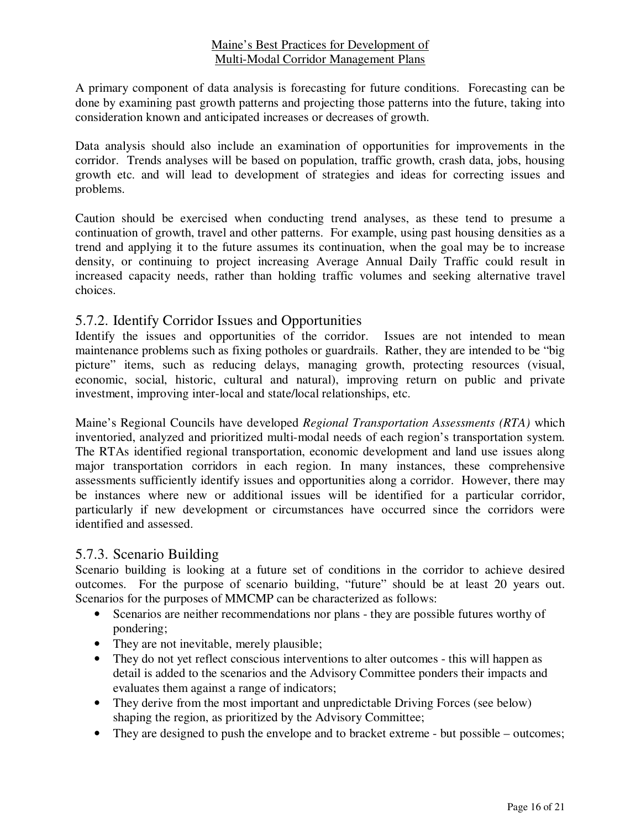A primary component of data analysis is forecasting for future conditions. Forecasting can be done by examining past growth patterns and projecting those patterns into the future, taking into consideration known and anticipated increases or decreases of growth.

Data analysis should also include an examination of opportunities for improvements in the corridor. Trends analyses will be based on population, traffic growth, crash data, jobs, housing growth etc. and will lead to development of strategies and ideas for correcting issues and problems.

Caution should be exercised when conducting trend analyses, as these tend to presume a continuation of growth, travel and other patterns. For example, using past housing densities as a trend and applying it to the future assumes its continuation, when the goal may be to increase density, or continuing to project increasing Average Annual Daily Traffic could result in increased capacity needs, rather than holding traffic volumes and seeking alternative travel choices.

# 5.7.2. Identify Corridor Issues and Opportunities

Identify the issues and opportunities of the corridor. Issues are not intended to mean maintenance problems such as fixing potholes or guardrails. Rather, they are intended to be "big picture" items, such as reducing delays, managing growth, protecting resources (visual, economic, social, historic, cultural and natural), improving return on public and private investment, improving inter-local and state/local relationships, etc.

Maine's Regional Councils have developed *Regional Transportation Assessments (RTA)* which inventoried, analyzed and prioritized multi-modal needs of each region's transportation system. The RTAs identified regional transportation, economic development and land use issues along major transportation corridors in each region. In many instances, these comprehensive assessments sufficiently identify issues and opportunities along a corridor. However, there may be instances where new or additional issues will be identified for a particular corridor, particularly if new development or circumstances have occurred since the corridors were identified and assessed.

#### 5.7.3. Scenario Building

Scenario building is looking at a future set of conditions in the corridor to achieve desired outcomes. For the purpose of scenario building, "future" should be at least 20 years out. Scenarios for the purposes of MMCMP can be characterized as follows:

- Scenarios are neither recommendations nor plans they are possible futures worthy of pondering;
- They are not inevitable, merely plausible;
- They do not yet reflect conscious interventions to alter outcomes this will happen as detail is added to the scenarios and the Advisory Committee ponders their impacts and evaluates them against a range of indicators;
- They derive from the most important and unpredictable Driving Forces (see below) shaping the region, as prioritized by the Advisory Committee;
- They are designed to push the envelope and to bracket extreme but possible outcomes;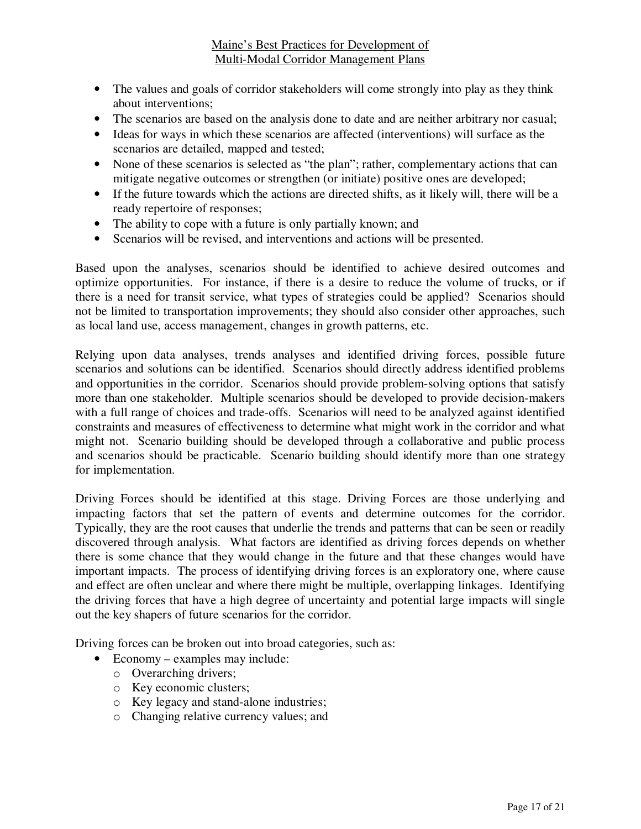- The values and goals of corridor stakeholders will come strongly into play as they think about interventions;
- The scenarios are based on the analysis done to date and are neither arbitrary nor casual;
- Ideas for ways in which these scenarios are affected (interventions) will surface as the scenarios are detailed, mapped and tested;
- None of these scenarios is selected as "the plan"; rather, complementary actions that can mitigate negative outcomes or strengthen (or initiate) positive ones are developed;
- If the future towards which the actions are directed shifts, as it likely will, there will be a ready repertoire of responses;
- The ability to cope with a future is only partially known; and
- Scenarios will be revised, and interventions and actions will be presented.

Based upon the analyses, scenarios should be identified to achieve desired outcomes and optimize opportunities. For instance, if there is a desire to reduce the volume of trucks, or if there is a need for transit service, what types of strategies could be applied? Scenarios should not be limited to transportation improvements; they should also consider other approaches, such as local land use, access management, changes in growth patterns, etc.

Relying upon data analyses, trends analyses and identified driving forces, possible future scenarios and solutions can be identified. Scenarios should directly address identified problems and opportunities in the corridor. Scenarios should provide problem-solving options that satisfy more than one stakeholder. Multiple scenarios should be developed to provide decision-makers with a full range of choices and trade-offs. Scenarios will need to be analyzed against identified constraints and measures of effectiveness to determine what might work in the corridor and what might not. Scenario building should be developed through a collaborative and public process and scenarios should be practicable. Scenario building should identify more than one strategy for implementation.

Driving Forces should be identified at this stage. Driving Forces are those underlying and impacting factors that set the pattern of events and determine outcomes for the corridor. Typically, they are the root causes that underlie the trends and patterns that can be seen or readily discovered through analysis. What factors are identified as driving forces depends on whether there is some chance that they would change in the future and that these changes would have important impacts. The process of identifying driving forces is an exploratory one, where cause and effect are often unclear and where there might be multiple, overlapping linkages. Identifying the driving forces that have a high degree of uncertainty and potential large impacts will single out the key shapers of future scenarios for the corridor.

Driving forces can be broken out into broad categories, such as:

- Economy examples may include:
	- o Overarching drivers;
	- o Key economic clusters;
	- o Key legacy and stand-alone industries;
	- o Changing relative currency values; and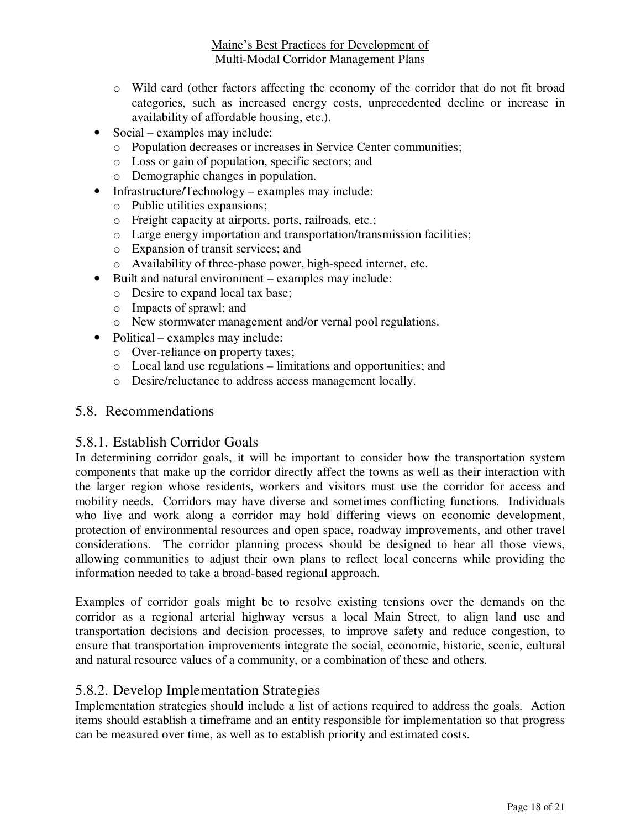- o Wild card (other factors affecting the economy of the corridor that do not fit broad categories, such as increased energy costs, unprecedented decline or increase in availability of affordable housing, etc.).
- Social examples may include:
	- o Population decreases or increases in Service Center communities;
	- o Loss or gain of population, specific sectors; and
	- o Demographic changes in population.
- Infrastructure/Technology examples may include:
	- o Public utilities expansions;
	- o Freight capacity at airports, ports, railroads, etc.;
	- o Large energy importation and transportation/transmission facilities;
	- o Expansion of transit services; and
	- o Availability of three-phase power, high-speed internet, etc.
- Built and natural environment examples may include:
	- o Desire to expand local tax base;
	- o Impacts of sprawl; and
	- o New stormwater management and/or vernal pool regulations.
- Political examples may include:
	- o Over-reliance on property taxes;
	- o Local land use regulations limitations and opportunities; and
	- o Desire/reluctance to address access management locally.

#### 5.8. Recommendations

#### 5.8.1. Establish Corridor Goals

In determining corridor goals, it will be important to consider how the transportation system components that make up the corridor directly affect the towns as well as their interaction with the larger region whose residents, workers and visitors must use the corridor for access and mobility needs. Corridors may have diverse and sometimes conflicting functions. Individuals who live and work along a corridor may hold differing views on economic development, protection of environmental resources and open space, roadway improvements, and other travel considerations. The corridor planning process should be designed to hear all those views, allowing communities to adjust their own plans to reflect local concerns while providing the information needed to take a broad-based regional approach.

Examples of corridor goals might be to resolve existing tensions over the demands on the corridor as a regional arterial highway versus a local Main Street, to align land use and transportation decisions and decision processes, to improve safety and reduce congestion, to ensure that transportation improvements integrate the social, economic, historic, scenic, cultural and natural resource values of a community, or a combination of these and others.

#### 5.8.2. Develop Implementation Strategies

Implementation strategies should include a list of actions required to address the goals. Action items should establish a timeframe and an entity responsible for implementation so that progress can be measured over time, as well as to establish priority and estimated costs.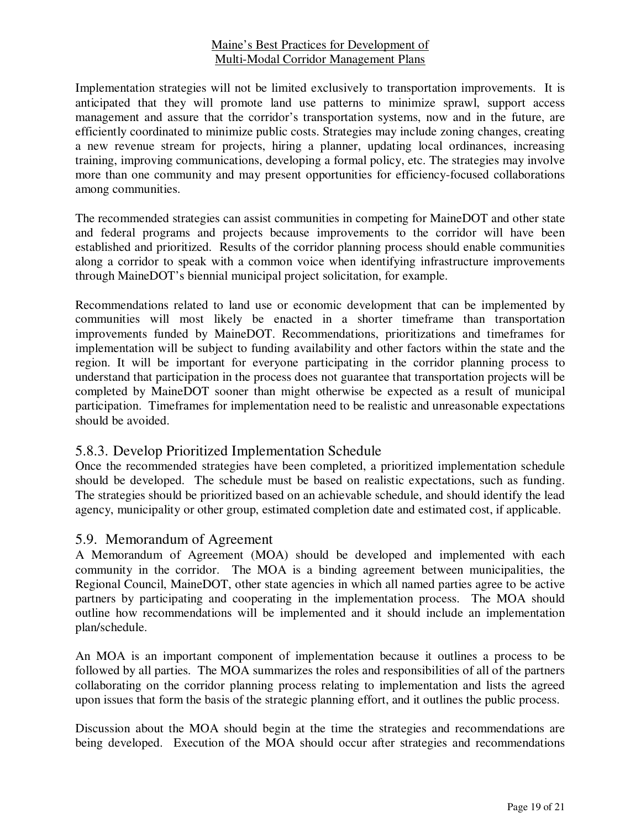Implementation strategies will not be limited exclusively to transportation improvements. It is anticipated that they will promote land use patterns to minimize sprawl, support access management and assure that the corridor's transportation systems, now and in the future, are efficiently coordinated to minimize public costs. Strategies may include zoning changes, creating a new revenue stream for projects, hiring a planner, updating local ordinances, increasing training, improving communications, developing a formal policy, etc. The strategies may involve more than one community and may present opportunities for efficiency-focused collaborations among communities.

The recommended strategies can assist communities in competing for MaineDOT and other state and federal programs and projects because improvements to the corridor will have been established and prioritized. Results of the corridor planning process should enable communities along a corridor to speak with a common voice when identifying infrastructure improvements through MaineDOT's biennial municipal project solicitation, for example.

Recommendations related to land use or economic development that can be implemented by communities will most likely be enacted in a shorter timeframe than transportation improvements funded by MaineDOT. Recommendations, prioritizations and timeframes for implementation will be subject to funding availability and other factors within the state and the region. It will be important for everyone participating in the corridor planning process to understand that participation in the process does not guarantee that transportation projects will be completed by MaineDOT sooner than might otherwise be expected as a result of municipal participation. Timeframes for implementation need to be realistic and unreasonable expectations should be avoided.

# 5.8.3. Develop Prioritized Implementation Schedule

Once the recommended strategies have been completed, a prioritized implementation schedule should be developed. The schedule must be based on realistic expectations, such as funding. The strategies should be prioritized based on an achievable schedule, and should identify the lead agency, municipality or other group, estimated completion date and estimated cost, if applicable.

# 5.9. Memorandum of Agreement

A Memorandum of Agreement (MOA) should be developed and implemented with each community in the corridor. The MOA is a binding agreement between municipalities, the Regional Council, MaineDOT, other state agencies in which all named parties agree to be active partners by participating and cooperating in the implementation process. The MOA should outline how recommendations will be implemented and it should include an implementation plan/schedule.

An MOA is an important component of implementation because it outlines a process to be followed by all parties. The MOA summarizes the roles and responsibilities of all of the partners collaborating on the corridor planning process relating to implementation and lists the agreed upon issues that form the basis of the strategic planning effort, and it outlines the public process.

Discussion about the MOA should begin at the time the strategies and recommendations are being developed. Execution of the MOA should occur after strategies and recommendations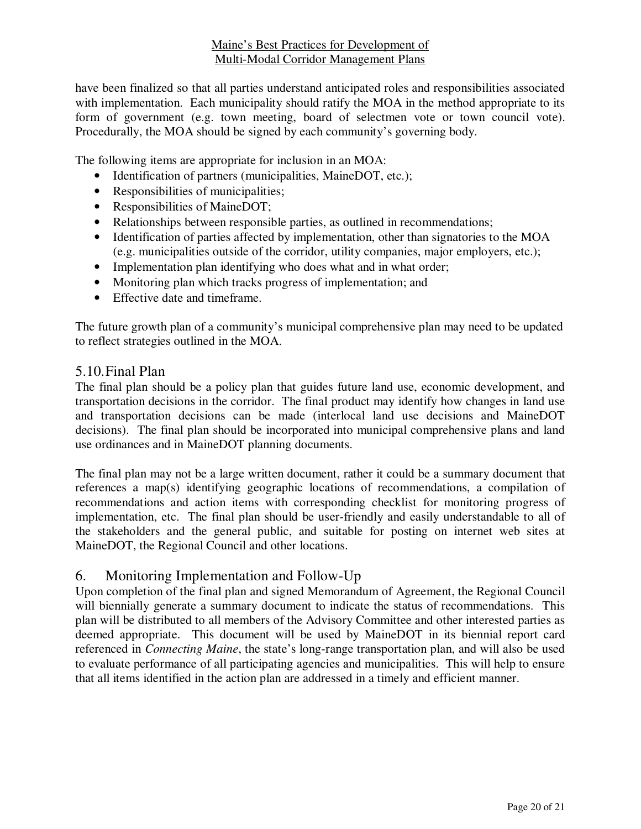have been finalized so that all parties understand anticipated roles and responsibilities associated with implementation. Each municipality should ratify the MOA in the method appropriate to its form of government (e.g. town meeting, board of selectmen vote or town council vote). Procedurally, the MOA should be signed by each community's governing body.

The following items are appropriate for inclusion in an MOA:

- Identification of partners (municipalities, MaineDOT, etc.);
- Responsibilities of municipalities;
- Responsibilities of MaineDOT;
- Relationships between responsible parties, as outlined in recommendations;
- Identification of parties affected by implementation, other than signatories to the MOA (e.g. municipalities outside of the corridor, utility companies, major employers, etc.);
- Implementation plan identifying who does what and in what order;
- Monitoring plan which tracks progress of implementation; and
- Effective date and timeframe.

The future growth plan of a community's municipal comprehensive plan may need to be updated to reflect strategies outlined in the MOA.

#### 5.10.Final Plan

The final plan should be a policy plan that guides future land use, economic development, and transportation decisions in the corridor. The final product may identify how changes in land use and transportation decisions can be made (interlocal land use decisions and MaineDOT decisions). The final plan should be incorporated into municipal comprehensive plans and land use ordinances and in MaineDOT planning documents.

The final plan may not be a large written document, rather it could be a summary document that references a map(s) identifying geographic locations of recommendations, a compilation of recommendations and action items with corresponding checklist for monitoring progress of implementation, etc. The final plan should be user-friendly and easily understandable to all of the stakeholders and the general public, and suitable for posting on internet web sites at MaineDOT, the Regional Council and other locations.

# 6. Monitoring Implementation and Follow-Up

Upon completion of the final plan and signed Memorandum of Agreement, the Regional Council will biennially generate a summary document to indicate the status of recommendations. This plan will be distributed to all members of the Advisory Committee and other interested parties as deemed appropriate. This document will be used by MaineDOT in its biennial report card referenced in *Connecting Maine*, the state's long-range transportation plan, and will also be used to evaluate performance of all participating agencies and municipalities. This will help to ensure that all items identified in the action plan are addressed in a timely and efficient manner.